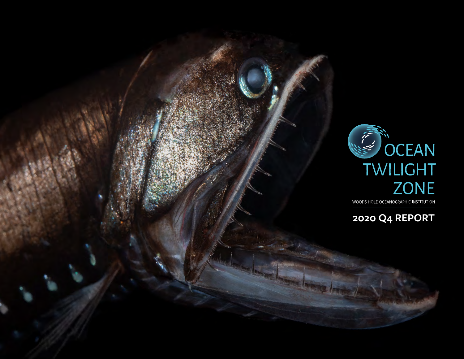

WOODS HOLE OCEANOGRAPHIC INSTITUTION

**2020 Q4 REPORT**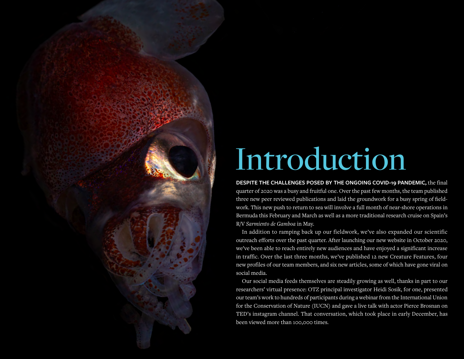

## Introduction

**DESPITE THE CHALLENGES POSED BY THE ONGOING COVID-19 PANDEMIC,** the final quarter of 2020 was a busy and fruitful one. Over the past few months, the team published three new peer reviewed publications and laid the groundwork for a busy spring of fieldwork. This new push to return to sea will involve a full month of near-shore operations in Bermuda this February and March as well as a more traditional research cruise on Spain's R/V *Sarmiento de Gamboa* in May.

In addition to ramping back up our fieldwork, we've also expanded our scientific outreach efforts over the past quarter. After launching our new website in October 2020, we've been able to reach entirely new audiences and have enjoyed a significant increase in traffic. Over the last three months, we've published 12 new Creature Features, four new profiles of our team members, and six new articles, some of which have gone viral on social media.

Our social media feeds themselves are steadily growing as well, thanks in part to our researchers' virtual presence: OTZ principal investigator Heidi Sosik, for one, presented our team's work to hundreds of participants during a webinar from the International Union for the Conservation of Nature (IUCN) and gave a live talk with actor Pierce Brosnan on TED's instagram channel. That conversation, which took place in early December, has been viewed more than 100,000 times.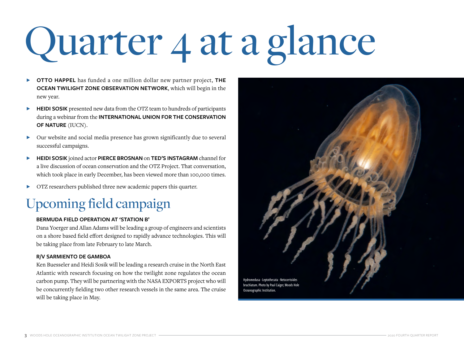# Quarter 4 at a glance

- Ɂ **OTTO HAPPEL** has funded a one million dollar new partner project, **THE OCEAN TWILIGHT ZONE OBSERVATION NETWORK**, which will begin in the new year.
- **EXECUTE IS HEIDI SOSIK** presented new data from the OTZ team to hundreds of participants during a webinar from the **INTERNATIONAL UNION FOR THE CONSERVATION OF NATURE** (IUCN).
- Ɂ Our website and social media presence has grown significantly due to several successful campaigns.
- ▶ HEIDI SOSIK joined actor PIERCE BROSNAN on TED'S INSTAGRAM channel for a live discussion of ocean conservation and the OTZ Project. That conversation, which took place in early December, has been viewed more than 100,000 times.
- $\triangleright$  OTZ researchers published three new academic papers this quarter.

### Upcoming field campaign

### **BERMUDA FIELD OPERATION AT 'STATION B'**

Dana Yoerger and Allan Adams will be leading a group of engineers and scientists on a shore based field effort designed to rapidly advance technologies. This will be taking place from late February to late March.

### **R/V SARMIENTO DE GAMBOA**

Ken Buesseler and Heidi Sosik will be leading a research cruise in the North East Atlantic with research focusing on how the twilight zone regulates the ocean carbon pump. They will be partnering with the NASA EXPORTS project who will be concurrently fielding two other research vessels in the same area. The cruise will be taking place in May.

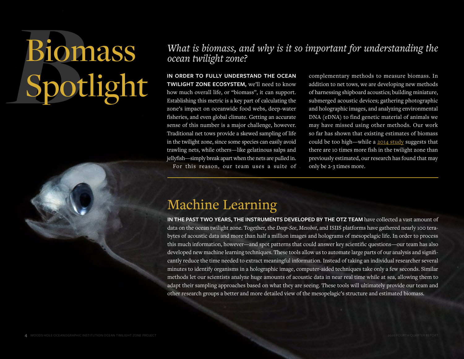# Bion<br>Spot Biomass Spotlight

*What is biomass, and why is it so important for understanding the ocean twilight zone?*

**IN ORDER TO FULLY UNDERSTAND THE OCEAN TWILIGHT ZONE ECOSYSTEM,** we'll need to know how much overall life, or "biomass", it can support. Establishing this metric is a key part of calculating the zone's impact on oceanwide food webs, deep-water fisheries, and even global climate. Getting an accurate sense of this number is a major challenge, however. Traditional net tows provide a skewed sampling of life in the twilight zone, since some species can easily avoid trawling nets, while others—like gelatinous salps and jellyfish—simply break apart when the nets are pulled in. For this reason, our team uses a suite of

complementary methods to measure biomass. In addition to net tows, we are developing new methods of harnessing shipboard acoustics; building miniature, submerged acoustic devices; gathering photographic and holographic images, and analyzing environmental DNA (eDNA) to find genetic material of animals we may have missed using other methods. Our work so far has shown that existing estimates of biomass could be too high—while a [2014 study](https://www.nature.com/articles/ncomms4271) suggests that there are 10 times more fish in the twilight zone than previously estimated, our research has found that may only be 2-3 times more.

### Machine Learning

**IN THE PAST TWO YEARS, THE INSTRUMENTS DEVELOPED BY THE OTZ TEAM** have collected a vast amount of data on the ocean twilight zone. Together, the *Deep-See*, *Mesobot*, and ISIIS platforms have gathered nearly 100 terabytes of acoustic data and more than half a million images and holograms of mesopelagic life. In order to process this much information, however—and spot patterns that could answer key scientific questions—our team has also developed new machine learning techniques. These tools allow us to automate large parts of our analysis and significantly reduce the time needed to extract meaningful information. Instead of taking an individual researcher several minutes to identify organisms in a holographic image, computer-aided techniques take only a few seconds. Similar methods let our scientists analyze huge amounts of acoustic data in near real time while at sea, allowing them to adapt their sampling approaches based on what they are seeing. These tools will ultimately provide our team and other research groups a better and more detailed view of the mesopelagic's structure and estimated biomass.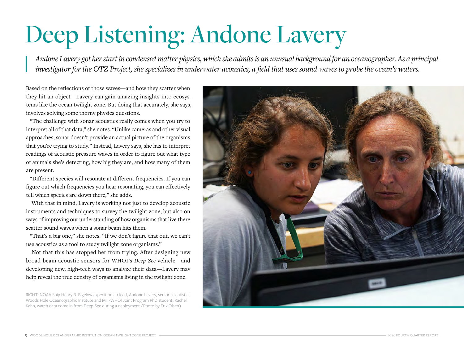## Deep Listening: Andone Lavery

*Andone Lavery got her start in condensed matter physics, which she admits is an unusual background for an oceanographer. As a principal investigator for the OTZ Project, she specializes in underwater acoustics, a field that uses sound waves to probe the ocean's waters.*

Based on the reflections of those waves—and how they scatter when they hit an object—Lavery can gain amazing insights into ecosystems like the ocean twilight zone. But doing that accurately, she says, involves solving some thorny physics questions.

"The challenge with sonar acoustics really comes when you try to interpret all of that data," she notes. "Unlike cameras and other visual approaches, sonar doesn't provide an actual picture of the organisms that you're trying to study." Instead, Lavery says, she has to interpret readings of acoustic pressure waves in order to figure out what type of animals she's detecting, how big they are, and how many of them are present.

"Different species will resonate at different frequencies. If you can figure out which frequencies you hear resonating, you can effectively tell which species are down there," she adds.

With that in mind, Lavery is working not just to develop acoustic instruments and techniques to survey the twilight zone, but also on ways of improving our understanding of how organisms that live there scatter sound waves when a sonar beam hits them.

"That's a big one," she notes. "If we don't figure that out, we can't use acoustics as a tool to study twilight zone organisms."

Not that this has stopped her from trying. After designing new broad-beam acoustic sensors for WHOI's *Deep-See* vehicle—and developing new, high-tech ways to analyze their data—Lavery may help reveal the true density of organisms living in the twilight zone.

RIGHT: NOAA Ship Henry B. Bigelow expedition co-lead, Andone Lavery, senior scientist at Woods Hole Oceanographic Institute and MIT-WHOI Joint Program PhD student, Rachel Kahn, watch data come in from Deep-See during a deployment (Photo by Erik Olsen)

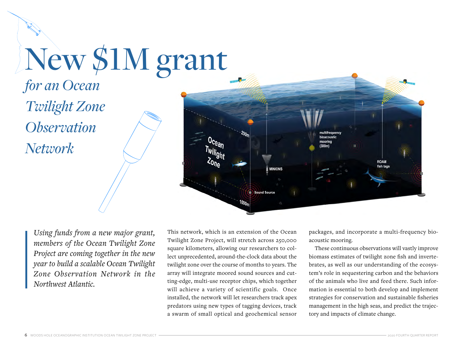## New \$1M grant

*for an Ocean Twilight Zone Observation Network*



*Using funds from a new major grant, members of the Ocean Twilight Zone Project are coming together in the new year to build a scalable Ocean Twilight Zone Observation Network in the Northwest Atlantic.* 

This network, which is an extension of the Ocean Twilight Zone Project, will stretch across 250,000 square kilometers, allowing our researchers to collect unprecedented, around-the-clock data about the twilight zone over the course of months to years. The array will integrate moored sound sources and cutting-edge, multi-use receptor chips, which together will achieve a variety of scientific goals. Once installed, the network will let researchers track apex predators using new types of tagging devices, track a swarm of small optical and geochemical sensor packages, and incorporate a multi-frequency bioacoustic mooring.

These continuous observations will vastly improve biomass estimates of twilight zone fish and invertebrates, as well as our understanding of the ecosystem's role in sequestering carbon and the behaviors of the animals who live and feed there. Such information is essential to both develop and implement strategies for conservation and sustainable fisheries management in the high seas, and predict the trajectory and impacts of climate change.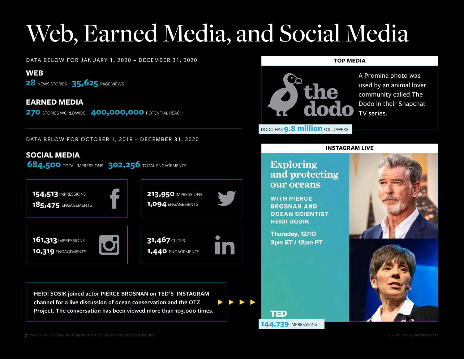## Web, Earned Media, and Social Media

DATA BELOW FOR JANUARY 1, 2020 – DECEMBER 31, 2020

**WEB**

**28** NEWS STORIES **35,625** PAGE VIEWS

**EARNED MEDIA** 

**270 STORIES WORLDWIDE 400,000,000 POTENTIAL REACH** 

DATA BELOW FOR OCTOBER 1, 2019 – DECEMBER 31, 2020

### **SOCIAL MEDIA**

**684,500** TOTAL IMPRESSIONS **302,256** TOTAL ENGAGEMENTS









**1,440** ENGAGEMENTS

**HEIDI SOSIK joined actor PIERCE BROSNAN on TED'S INSTAGRAM channel for a live discussion of ocean conservation and the OTZ Project. The conversation has been viewed more than 103,000 times.** **TOP MEDIA**



A Promina photo was used by an animal lover community called The Dodo in their Snapchat TV series.

### **INSTAGRAM LIVE**

### **Exploring** and protecting our oceans

DODO HAS **9.8 million** FOLLOWERS

**WITH PIERCE BROSNAN AND OCEAN SCIENTIST HEIDI SOSIK** 

Thursday, 12/10 3pm ET / 12pm PT





TED **144,739** IMPRESSIONS